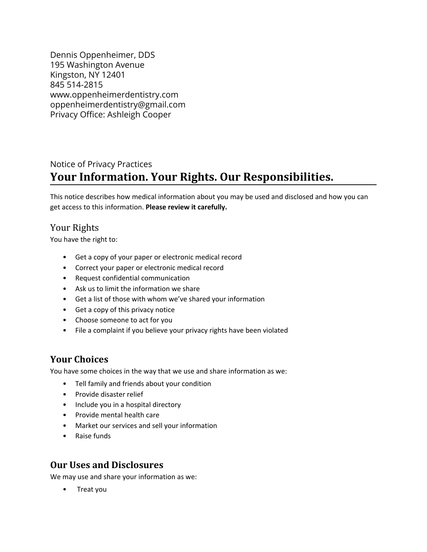Dennis Oppenheimer, DDS 195 Washington Avenue Kingston, NY 12401 845 514-2815 www.oppenheimerdentistry.com oppenheimerdentistry@gmail.com Privacy Office: Ashleigh Cooper

# Notice of Privacy Practices

# **Your Information. Your Rights. Our Responsibilities.**

This notice describes how medical information about you may be used and disclosed and how you can get access to this information. **Please review it carefully.**

# Your Rights

You have the right to:

- Get a copy of your paper or electronic medical record
- Correct your paper or electronic medical record
- Request confidential communication
- Ask us to limit the information we share
- Get a list of those with whom we've shared your information
- Get a copy of this privacy notice
- Choose someone to act for you
- File a complaint if you believe your privacy rights have been violated

# **Your Choices**

You have some choices in the way that we use and share information as we:

- Tell family and friends about your condition
- Provide disaster relief
- Include you in a hospital directory
- Provide mental health care
- Market our services and sell your information
- Raise funds

# **Our Uses and Disclosures**

We may use and share your information as we:

• Treat you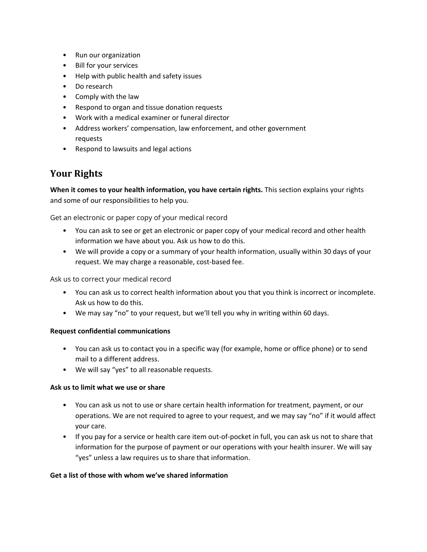- Run our organization
- Bill for your services
- Help with public health and safety issues
- Do research
- Comply with the law
- Respond to organ and tissue donation requests
- Work with a medical examiner or funeral director
- Address workers' compensation, law enforcement, and other government requests
- Respond to lawsuits and legal actions

# **Your Rights**

**When it comes to your health information, you have certain rights.** This section explains your rights and some of our responsibilities to help you.

Get an electronic or paper copy of your medical record

- You can ask to see or get an electronic or paper copy of your medical record and other health information we have about you. Ask us how to do this.
- We will provide a copy or a summary of your health information, usually within 30 days of your request. We may charge a reasonable, cost-based fee.

Ask us to correct your medical record

- You can ask us to correct health information about you that you think is incorrect or incomplete. Ask us how to do this.
- We may say "no" to your request, but we'll tell you why in writing within 60 days.

#### **Request confidential communications**

- You can ask us to contact you in a specific way (for example, home or office phone) or to send mail to a different address.
- We will say "yes" to all reasonable requests.

#### **Ask us to limit what we use or share**

- You can ask us not to use or share certain health information for treatment, payment, or our operations. We are not required to agree to your request, and we may say "no" if it would affect your care.
- If you pay for a service or health care item out-of-pocket in full, you can ask us not to share that information for the purpose of payment or our operations with your health insurer. We will say "yes" unless a law requires us to share that information.

#### **Get a list of those with whom we've shared information**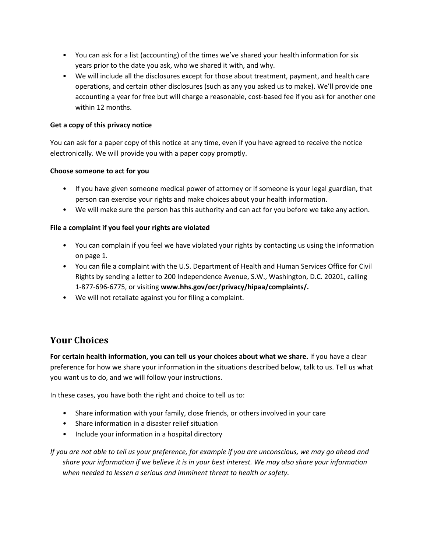- You can ask for a list (accounting) of the times we've shared your health information for six years prior to the date you ask, who we shared it with, and why.
- We will include all the disclosures except for those about treatment, payment, and health care operations, and certain other disclosures (such as any you asked us to make). We'll provide one accounting a year for free but will charge a reasonable, cost-based fee if you ask for another one within 12 months.

### **Get a copy of this privacy notice**

You can ask for a paper copy of this notice at any time, even if you have agreed to receive the notice electronically. We will provide you with a paper copy promptly.

#### **Choose someone to act for you**

- If you have given someone medical power of attorney or if someone is your legal guardian, that person can exercise your rights and make choices about your health information.
- We will make sure the person has this authority and can act for you before we take any action.

#### **File a complaint if you feel your rights are violated**

- You can complain if you feel we have violated your rights by contacting us using the information on page 1.
- You can file a complaint with the U.S. Department of Health and Human Services Office for Civil Rights by sending a letter to 200 Independence Avenue, S.W., Washington, D.C. 20201, calling 1-877-696-6775, or visiting **www.hhs.gov/ocr/privacy/hipaa/complaints/.**
- We will not retaliate against you for filing a complaint.

### **Your Choices**

**For certain health information, you can tell us your choices about what we share.** If you have a clear preference for how we share your information in the situations described below, talk to us. Tell us what you want us to do, and we will follow your instructions.

In these cases, you have both the right and choice to tell us to:

- Share information with your family, close friends, or others involved in your care
- Share information in a disaster relief situation
- Include your information in a hospital directory

If you are not able to tell us your preference, for example if you are unconscious, we may go ahead and share your information if we believe it is in your best interest. We may also share your information *when needed to lessen a serious and imminent threat to health or safety.*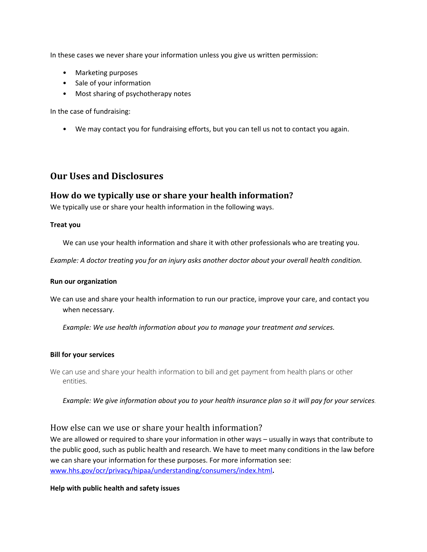In these cases we never share your information unless you give us written permission:

- Marketing purposes
- Sale of your information
- Most sharing of psychotherapy notes

In the case of fundraising:

• We may contact you for fundraising efforts, but you can tell us not to contact you again.

### **Our Uses and Disclosures**

### **How do we typically use or share your health information?**

We typically use or share your health information in the following ways.

#### **Treat you**

We can use your health information and share it with other professionals who are treating you.

*Example: A doctor treating you for an injury asks another doctor about your overall health condition.*

#### **Run our organization**

We can use and share your health information to run our practice, improve your care, and contact you when necessary.

*Example: We use health information about you to manage your treatment and services.*

#### **Bill for your services**

We can use and share your health information to bill and get payment from health plans or other entities.

Example: We give information about you to your health insurance plan so it will pay for your services.

### How else can we use or share your health information?

We are allowed or required to share your information in other ways – usually in ways that contribute to the public good, such as public health and research. We have to meet many conditions in the law before we can share your information for these purposes. For more information see: [www.hhs.gov/ocr/privacy/hipaa/understanding/consumers/index.html](http://www.hhs.gov/ocr/privacy/hipaa/understanding/consumers/index.html)**.**

### **Help with public health and safety issues**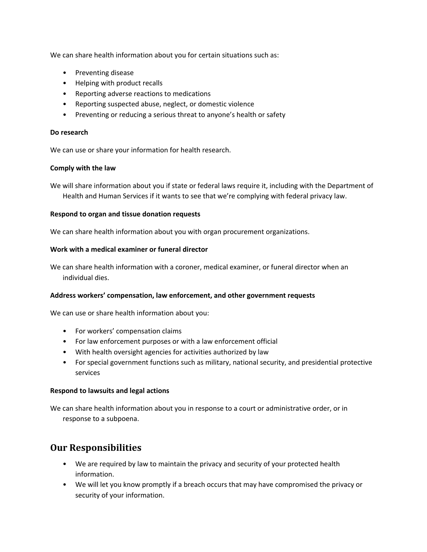We can share health information about you for certain situations such as:

- Preventing disease
- Helping with product recalls
- Reporting adverse reactions to medications
- Reporting suspected abuse, neglect, or domestic violence
- Preventing or reducing a serious threat to anyone's health or safety

#### **Do research**

We can use or share your information for health research.

#### **Comply with the law**

We will share information about you if state or federal laws require it, including with the Department of Health and Human Services if it wants to see that we're complying with federal privacy law.

#### **Respond to organ and tissue donation requests**

We can share health information about you with organ procurement organizations.

#### **Work with a medical examiner or funeral director**

We can share health information with a coroner, medical examiner, or funeral director when an individual dies.

#### **Address workers' compensation, law enforcement, and other government requests**

We can use or share health information about you:

- For workers' compensation claims
- For law enforcement purposes or with a law enforcement official
- With health oversight agencies for activities authorized by law
- For special government functions such as military, national security, and presidential protective services

#### **Respond to lawsuits and legal actions**

We can share health information about you in response to a court or administrative order, or in response to a subpoena.

### **Our Responsibilities**

- We are required by law to maintain the privacy and security of your protected health information.
- We will let you know promptly if a breach occurs that may have compromised the privacy or security of your information.